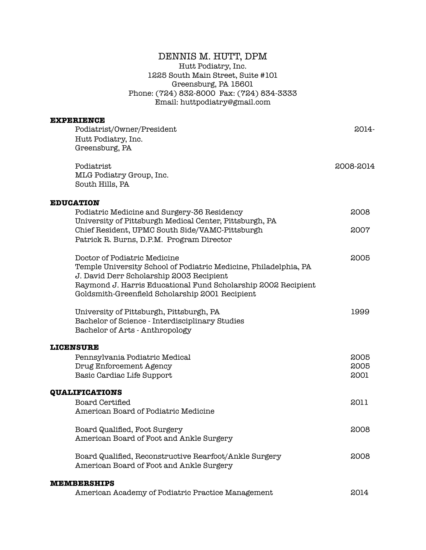# DENNIS M. HUTT, DPM Hutt Podiatry, Inc. 1225 South Main Street, Suite #101 Greensburg, PA 15601 Phone: (724) 832-8000 Fax: (724) 834-3333

Email: huttpodiatry@gmail.com

| EXPERIENCE                                                       |           |
|------------------------------------------------------------------|-----------|
| Podiatrist/Owner/President                                       | 2014-     |
| Hutt Podiatry, Inc.                                              |           |
| Greensburg, PA                                                   |           |
| Podiatrist                                                       | 2008-2014 |
| MLG Podiatry Group, Inc.                                         |           |
| South Hills, PA                                                  |           |
| <b>EDUCATION</b>                                                 |           |
| Podiatric Medicine and Surgery-36 Residency                      | 2008      |
| University of Pittsburgh Medical Center, Pittsburgh, PA          |           |
| Chief Resident, UPMC South Side/VAMC-Pittsburgh                  | 2007      |
| Patrick R. Burns, D.P.M. Program Director                        |           |
| Doctor of Podiatric Medicine                                     | 2005      |
| Temple University School of Podiatric Medicine, Philadelphia, PA |           |
| J. David Derr Scholarship 2003 Recipient                         |           |
| Raymond J. Harris Educational Fund Scholarship 2002 Recipient    |           |
| Goldsmith-Greenfield Scholarship 2001 Recipient                  |           |
| University of Pittsburgh, Pittsburgh, PA                         | 1999      |
| Bachelor of Science - Interdisciplinary Studies                  |           |
| Bachelor of Arts - Anthropology                                  |           |
| <b>LICENSURE</b>                                                 |           |
| Pennsylvania Podiatric Medical                                   | 2005      |
| Drug Enforcement Agency                                          | 2005      |
| Basic Cardiac Life Support                                       | 2001      |
| <b>QUALIFICATIONS</b>                                            |           |
| <b>Board Certified</b>                                           | 2011      |
| American Board of Podiatric Medicine                             |           |
| Board Qualified, Foot Surgery                                    | 2008      |
| American Board of Foot and Ankle Surgery                         |           |
| Board Qualified, Reconstructive Rearfoot/Ankle Surgery           | 2008      |
| American Board of Foot and Ankle Surgery                         |           |
| <b>MEMBERSHIPS</b>                                               |           |
| American Academy of Podiatric Practice Management                | 2014      |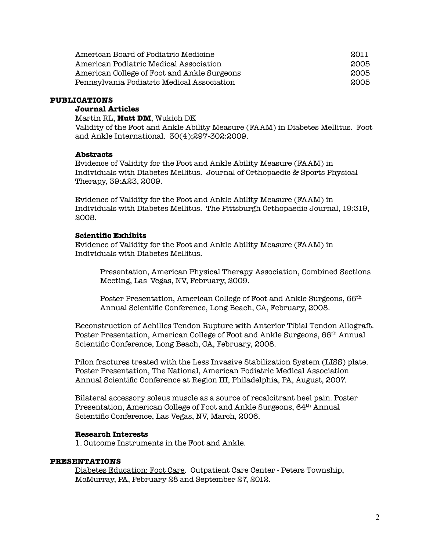| American Board of Podiatric Medicine        | 2011 |
|---------------------------------------------|------|
| American Podiatric Medical Association      | 2005 |
| American College of Foot and Ankle Surgeons | 2005 |
| Pennsylvania Podiatric Medical Association  | 2005 |

#### **PUBLICATIONS**

### **Journal Articles**

Martin RL, **Hutt DM**, Wukich DK Validity of the Foot and Ankle Ability Measure (FAAM) in Diabetes Mellitus. Foot and Ankle International. 30(4);297-302:2009.

#### **Abstracts**

Evidence of Validity for the Foot and Ankle Ability Measure (FAAM) in Individuals with Diabetes Mellitus. Journal of Orthopaedic & Sports Physical Therapy, 39:A23, 2009.

Evidence of Validity for the Foot and Ankle Ability Measure (FAAM) in Individuals with Diabetes Mellitus. The Pittsburgh Orthopaedic Journal, 19:319, 2008.

#### **Scientific Exhibits**

Evidence of Validity for the Foot and Ankle Ability Measure (FAAM) in Individuals with Diabetes Mellitus.

Presentation, American Physical Therapy Association, Combined Sections Meeting, Las Vegas, NV, February, 2009.

Poster Presentation, American College of Foot and Ankle Surgeons, 66th Annual Scientific Conference, Long Beach, CA, February, 2008.

Reconstruction of Achilles Tendon Rupture with Anterior Tibial Tendon Allograft. Poster Presentation, American College of Foot and Ankle Surgeons, 66th Annual Scientific Conference, Long Beach, CA, February, 2008.

Pilon fractures treated with the Less Invasive Stabilization System (LISS) plate. Poster Presentation, The National, American Podiatric Medical Association Annual Scientific Conference at Region III, Philadelphia, PA, August, 2007.

Bilateral accessory soleus muscle as a source of recalcitrant heel pain. Poster Presentation, American College of Foot and Ankle Surgeons, 64th Annual Scientific Conference, Las Vegas, NV, March, 2006.

### **Research Interests**

1. Outcome Instruments in the Foot and Ankle.

### **PRESENTATIONS**

Diabetes Education: Foot Care. Outpatient Care Center - Peters Township, McMurray, PA, February 28 and September 27, 2012.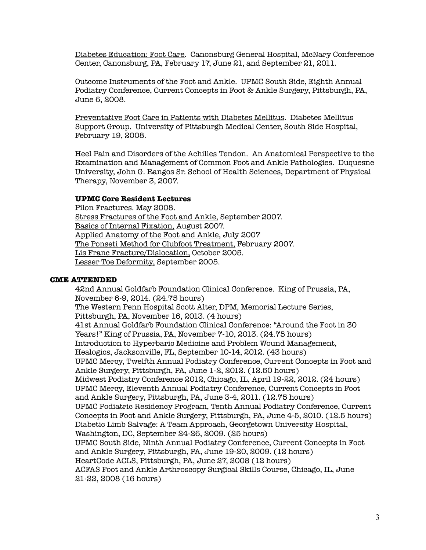Diabetes Education: Foot Care. Canonsburg General Hospital, McNary Conference Center, Canonsburg, PA, February 17, June 21, and September 21, 2011.

Outcome Instruments of the Foot and Ankle. UPMC South Side, Eighth Annual Podiatry Conference, Current Concepts in Foot & Ankle Surgery, Pittsburgh, PA, June 6, 2008.

Preventative Foot Care in Patients with Diabetes Mellitus. Diabetes Mellitus Support Group. University of Pittsburgh Medical Center, South Side Hospital, February 19, 2008.

Heel Pain and Disorders of the Achilles Tendon. An Anatomical Perspective to the Examination and Management of Common Foot and Ankle Pathologies. Duquesne University, John G. Rangos Sr. School of Health Sciences, Department of Physical Therapy, November 3, 2007.

### **UPMC Core Resident Lectures**

Pilon Fractures. May 2008. Stress Fractures of the Foot and Ankle, September 2007. Basics of Internal Fixation, August 2007. Applied Anatomy of the Foot and Ankle, July 2007 The Ponseti Method for Clubfoot Treatment, February 2007. Lis Franc Fracture/Dislocation, October 2005. Lesser Toe Deformity, September 2005.

### **CME ATTENDED**

42nd Annual Goldfarb Foundation Clinical Conference. King of Prussia, PA, November 6-9, 2014. (24.75 hours) The Western Penn Hospital Scott Alter, DPM, Memorial Lecture Series, Pittsburgh, PA, November 16, 2013. (4 hours) 41st Annual Goldfarb Foundation Clinical Conference: "Around the Foot in 30 Years!" King of Prussia, PA, November 7-10, 2013. (24.75 hours) Introduction to Hyperbaric Medicine and Problem Wound Management, Healogics, Jacksonville, FL, September 10-14, 2012. (43 hours) UPMC Mercy, Twelfth Annual Podiatry Conference, Current Concepts in Foot and Ankle Surgery, Pittsburgh, PA, June 1-2, 2012. (12.50 hours) Midwest Podiatry Conference 2012, Chicago, IL, April 19-22, 2012. (24 hours) UPMC Mercy, Eleventh Annual Podiatry Conference, Current Concepts in Foot and Ankle Surgery, Pittsburgh, PA, June 3-4, 2011. (12.75 hours) UPMC Podiatric Residency Program, Tenth Annual Podiatry Conference, Current Concepts in Foot and Ankle Surgery, Pittsburgh, PA, June 4-5, 2010. (12.5 hours) Diabetic Limb Salvage: A Team Approach, Georgetown University Hospital, Washington, DC, September 24-26, 2009. (25 hours) UPMC South Side, Ninth Annual Podiatry Conference, Current Concepts in Foot and Ankle Surgery, Pittsburgh, PA, June 19-20, 2009. (12 hours) HeartCode ACLS, Pittsburgh, PA, June 27, 2008 (12 hours) ACFAS Foot and Ankle Arthroscopy Surgical Skills Course, Chicago, IL, June 21-22, 2008 (16 hours)